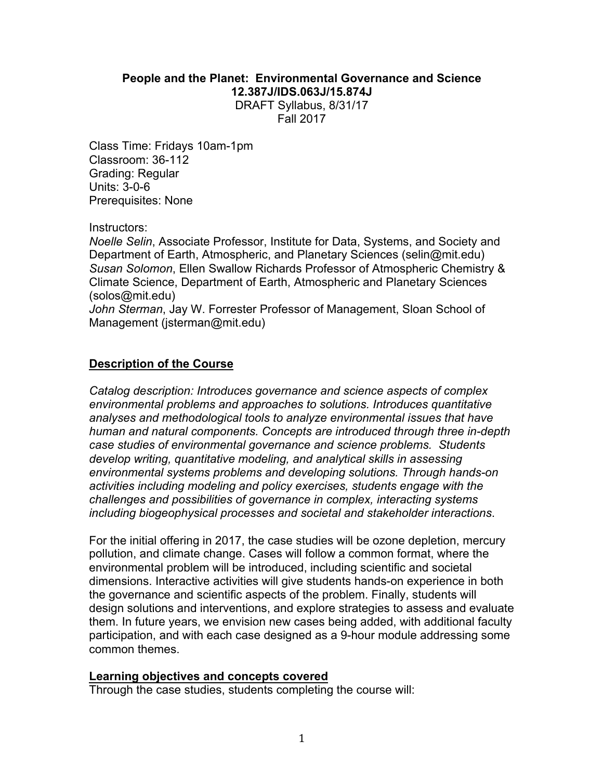## **People and the Planet: Environmental Governance and Science 12.387J/IDS.063J/15.874J** DRAFT Syllabus, 8/31/17

Fall 2017

Class Time: Fridays 10am-1pm Classroom: 36-112 Grading: Regular Units: 3-0-6 Prerequisites: None

Instructors:

*Noelle Selin*, Associate Professor, Institute for Data, Systems, and Society and Department of Earth, Atmospheric, and Planetary Sciences (selin@mit.edu) *Susan Solomon*, Ellen Swallow Richards Professor of Atmospheric Chemistry & Climate Science, Department of Earth, Atmospheric and Planetary Sciences (solos@mit.edu)

*John Sterman*, Jay W. Forrester Professor of Management, Sloan School of Management (jsterman@mit.edu)

### **Description of the Course**

*Catalog description: Introduces governance and science aspects of complex environmental problems and approaches to solutions. Introduces quantitative analyses and methodological tools to analyze environmental issues that have human and natural components. Concepts are introduced through three in-depth case studies of environmental governance and science problems. Students develop writing, quantitative modeling, and analytical skills in assessing environmental systems problems and developing solutions. Through hands-on activities including modeling and policy exercises, students engage with the challenges and possibilities of governance in complex, interacting systems including biogeophysical processes and societal and stakeholder interactions*.

For the initial offering in 2017, the case studies will be ozone depletion, mercury pollution, and climate change. Cases will follow a common format, where the environmental problem will be introduced, including scientific and societal dimensions. Interactive activities will give students hands-on experience in both the governance and scientific aspects of the problem. Finally, students will design solutions and interventions, and explore strategies to assess and evaluate them. In future years, we envision new cases being added, with additional faculty participation, and with each case designed as a 9-hour module addressing some common themes.

#### **Learning objectives and concepts covered**

Through the case studies, students completing the course will: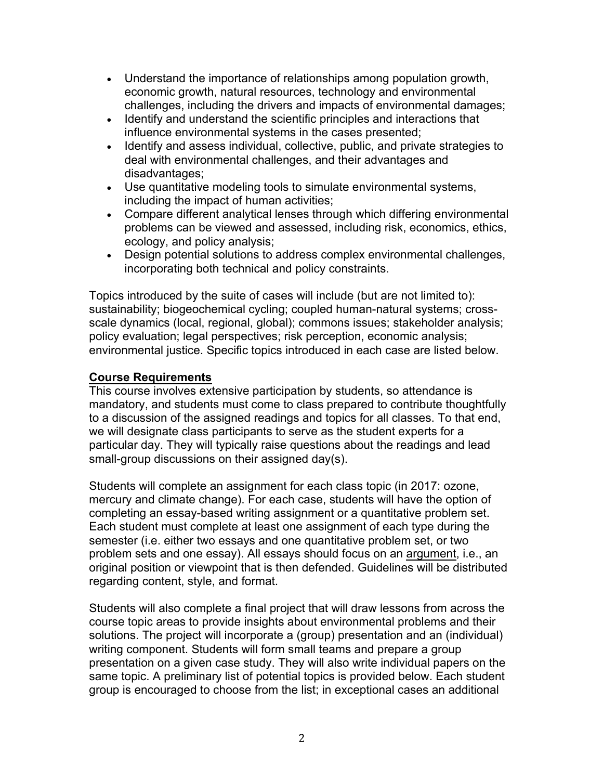- Understand the importance of relationships among population growth, economic growth, natural resources, technology and environmental challenges, including the drivers and impacts of environmental damages;
- Identify and understand the scientific principles and interactions that influence environmental systems in the cases presented;
- Identify and assess individual, collective, public, and private strategies to deal with environmental challenges, and their advantages and disadvantages;
- Use quantitative modeling tools to simulate environmental systems, including the impact of human activities;
- Compare different analytical lenses through which differing environmental problems can be viewed and assessed, including risk, economics, ethics, ecology, and policy analysis;
- Design potential solutions to address complex environmental challenges, incorporating both technical and policy constraints.

Topics introduced by the suite of cases will include (but are not limited to): sustainability; biogeochemical cycling; coupled human-natural systems; crossscale dynamics (local, regional, global); commons issues; stakeholder analysis; policy evaluation; legal perspectives; risk perception, economic analysis; environmental justice. Specific topics introduced in each case are listed below.

# **Course Requirements**

This course involves extensive participation by students, so attendance is mandatory, and students must come to class prepared to contribute thoughtfully to a discussion of the assigned readings and topics for all classes. To that end, we will designate class participants to serve as the student experts for a particular day. They will typically raise questions about the readings and lead small-group discussions on their assigned day(s).

Students will complete an assignment for each class topic (in 2017: ozone, mercury and climate change). For each case, students will have the option of completing an essay-based writing assignment or a quantitative problem set. Each student must complete at least one assignment of each type during the semester (i.e. either two essays and one quantitative problem set, or two problem sets and one essay). All essays should focus on an argument, i.e., an original position or viewpoint that is then defended. Guidelines will be distributed regarding content, style, and format.

Students will also complete a final project that will draw lessons from across the course topic areas to provide insights about environmental problems and their solutions. The project will incorporate a (group) presentation and an (individual) writing component. Students will form small teams and prepare a group presentation on a given case study. They will also write individual papers on the same topic. A preliminary list of potential topics is provided below. Each student group is encouraged to choose from the list; in exceptional cases an additional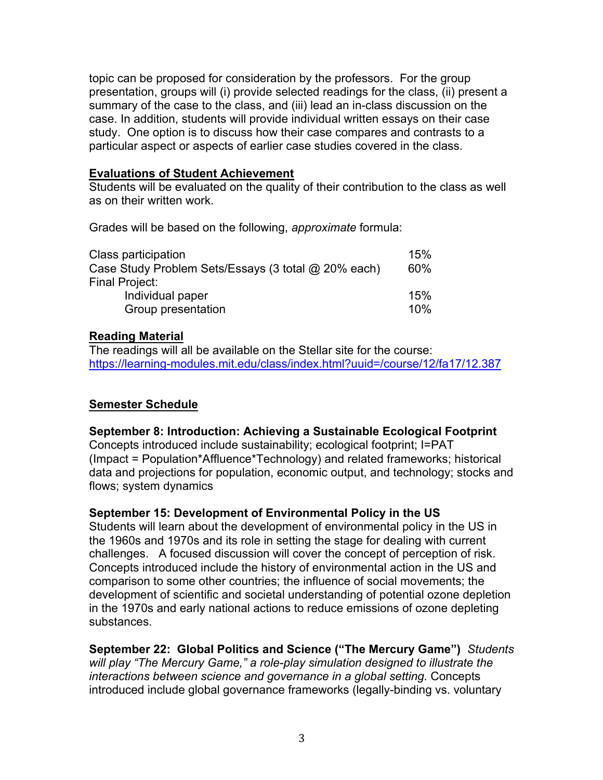topic can be proposed for consideration by the professors. For the group presentation, groups will (i) provide selected readings for the class, (ii) present a summary of the case to the class, and (iii) lead an in-class discussion on the case. In addition, students will provide individual written essays on their case study. One option is to discuss how their case compares and contrasts to a particular aspect or aspects of earlier case studies covered in the class.

### **Evaluations of Student Achievement**

Students will be evaluated on the quality of their contribution to the class as well as on their written work.

Grades will be based on the following, *approximate* formula:

| Class participation                                 | 15% |
|-----------------------------------------------------|-----|
| Case Study Problem Sets/Essays (3 total @ 20% each) | 60% |
| Final Project:                                      |     |
| Individual paper                                    | 15% |
| Group presentation                                  | 10% |

### **Reading Material**

The readings will all be available on the Stellar site for the course: https://learning-modules.mit.edu/class/index.html?uuid=/course/12/fa17/12.387

### **Semester Schedule**

#### **September 8: Introduction: Achieving a Sustainable Ecological Footprint**

Concepts introduced include sustainability; ecological footprint; I=PAT (Impact = Population\*Affluence\*Technology) and related frameworks; historical data and projections for population, economic output, and technology; stocks and flows; system dynamics

#### **September 15: Development of Environmental Policy in the US**

Students will learn about the development of environmental policy in the US in the 1960s and 1970s and its role in setting the stage for dealing with current challenges. A focused discussion will cover the concept of perception of risk. Concepts introduced include the history of environmental action in the US and comparison to some other countries; the influence of social movements; the development of scientific and societal understanding of potential ozone depletion in the 1970s and early national actions to reduce emissions of ozone depleting substances.

**September 22: Global Politics and Science ("The Mercury Game")** *Students will play "The Mercury Game," a role-play simulation designed to illustrate the interactions between science and governance in a global setting.* Concepts introduced include global governance frameworks (legally-binding vs. voluntary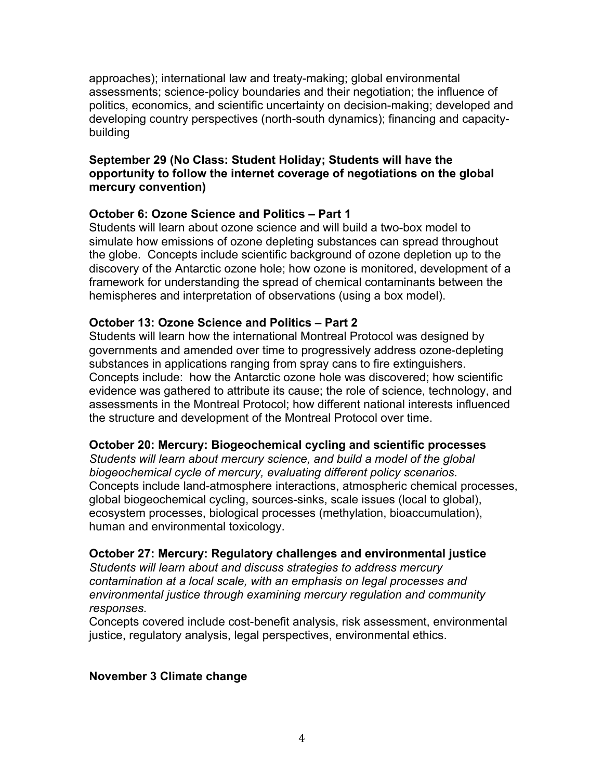approaches); international law and treaty-making; global environmental assessments; science-policy boundaries and their negotiation; the influence of politics, economics, and scientific uncertainty on decision-making; developed and developing country perspectives (north-south dynamics); financing and capacitybuilding

## **September 29 (No Class: Student Holiday; Students will have the opportunity to follow the internet coverage of negotiations on the global mercury convention)**

### **October 6: Ozone Science and Politics – Part 1**

Students will learn about ozone science and will build a two-box model to simulate how emissions of ozone depleting substances can spread throughout the globe. Concepts include scientific background of ozone depletion up to the discovery of the Antarctic ozone hole; how ozone is monitored, development of a framework for understanding the spread of chemical contaminants between the hemispheres and interpretation of observations (using a box model).

### **October 13: Ozone Science and Politics – Part 2**

Students will learn how the international Montreal Protocol was designed by governments and amended over time to progressively address ozone-depleting substances in applications ranging from spray cans to fire extinguishers. Concepts include: how the Antarctic ozone hole was discovered; how scientific evidence was gathered to attribute its cause; the role of science, technology, and assessments in the Montreal Protocol; how different national interests influenced the structure and development of the Montreal Protocol over time.

### **October 20: Mercury: Biogeochemical cycling and scientific processes**

*Students will learn about mercury science, and build a model of the global biogeochemical cycle of mercury, evaluating different policy scenarios.* Concepts include land-atmosphere interactions, atmospheric chemical processes, global biogeochemical cycling, sources-sinks, scale issues (local to global), ecosystem processes, biological processes (methylation, bioaccumulation), human and environmental toxicology.

#### **October 27: Mercury: Regulatory challenges and environmental justice**

*Students will learn about and discuss strategies to address mercury contamination at a local scale, with an emphasis on legal processes and environmental justice through examining mercury regulation and community responses.*

Concepts covered include cost-benefit analysis, risk assessment, environmental justice, regulatory analysis, legal perspectives, environmental ethics.

### **November 3 Climate change**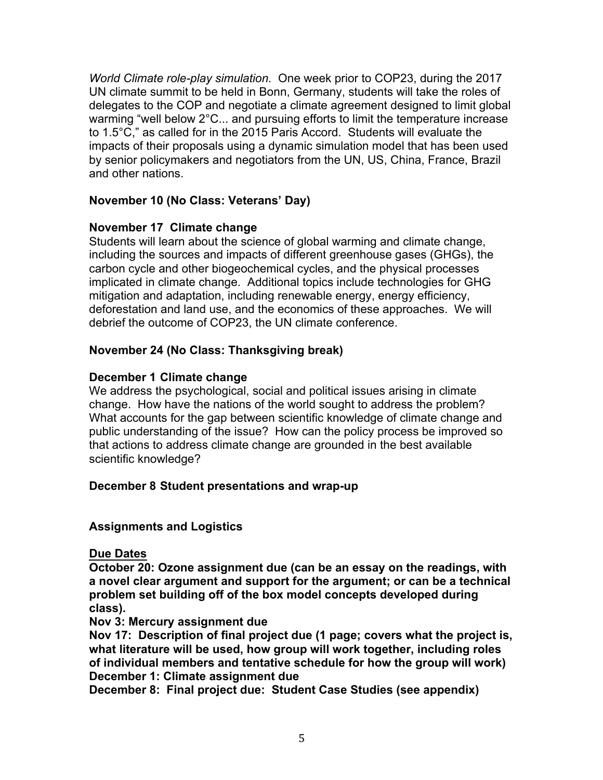*World Climate role-play simulation.* One week prior to COP23, during the 2017 UN climate summit to be held in Bonn, Germany, students will take the roles of delegates to the COP and negotiate a climate agreement designed to limit global warming "well below 2°C... and pursuing efforts to limit the temperature increase to 1.5°C," as called for in the 2015 Paris Accord. Students will evaluate the impacts of their proposals using a dynamic simulation model that has been used by senior policymakers and negotiators from the UN, US, China, France, Brazil and other nations.

## **November 10 (No Class: Veterans' Day)**

## **November 17 Climate change**

Students will learn about the science of global warming and climate change, including the sources and impacts of different greenhouse gases (GHGs), the carbon cycle and other biogeochemical cycles, and the physical processes implicated in climate change. Additional topics include technologies for GHG mitigation and adaptation, including renewable energy, energy efficiency, deforestation and land use, and the economics of these approaches. We will debrief the outcome of COP23, the UN climate conference.

## **November 24 (No Class: Thanksgiving break)**

## **December 1 Climate change**

We address the psychological, social and political issues arising in climate change. How have the nations of the world sought to address the problem? What accounts for the gap between scientific knowledge of climate change and public understanding of the issue? How can the policy process be improved so that actions to address climate change are grounded in the best available scientific knowledge?

# **December 8 Student presentations and wrap-up**

# **Assignments and Logistics**

**Due Dates**

**October 20: Ozone assignment due (can be an essay on the readings, with a novel clear argument and support for the argument; or can be a technical problem set building off of the box model concepts developed during class).**

### **Nov 3: Mercury assignment due**

**Nov 17: Description of final project due (1 page; covers what the project is, what literature will be used, how group will work together, including roles of individual members and tentative schedule for how the group will work) December 1: Climate assignment due**

**December 8: Final project due: Student Case Studies (see appendix)**